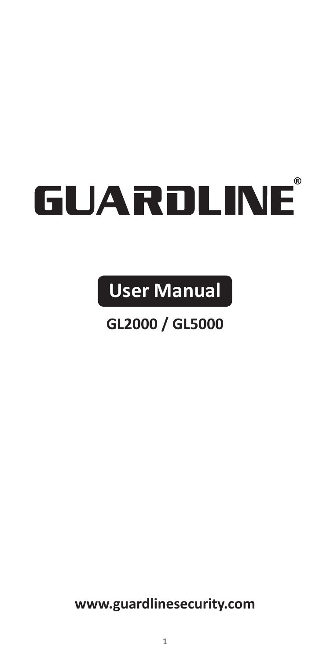## GUARDLINE

**User Manual**

## **GL2000 / GL5000**

**www.guardlinesecurity.com**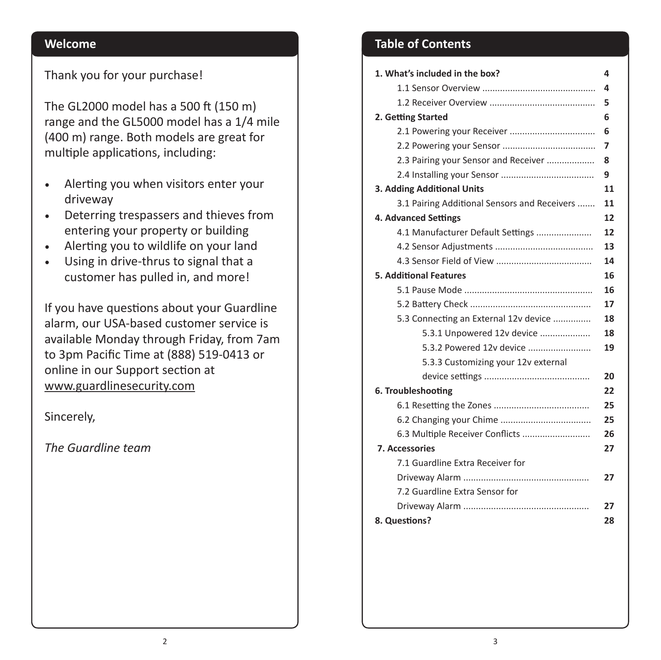#### Thank you for your purchase!

The GL2000 model has a 500 ft (150 m) range and the GL5000 model has a 1/4 mile (400 m) range. Both models are great for multiple applications, including:

- Alerting you when visitors enter your driveway
- Deterring trespassers and thieves from entering your property or building
- Alerting you to wildlife on your land
- Using in drive-thrus to signal that a customer has pulled in, and more!

If you have questions about your Guardline alarm, our USA-based customer service is available Monday through Friday, from 7am to 3pm Pacific Time at (888) 519-0413 or online in our Support section at www.guardlinesecurity.com

Sincerely,

*The Guardline team*

## **Welcome Table of Contents**

| 1. What's included in the box?               | 4  |
|----------------------------------------------|----|
|                                              | 4  |
|                                              | 5  |
| 2. Getting Started                           | 6  |
|                                              | 6  |
|                                              | 7  |
| 2.3 Pairing your Sensor and Receiver         | 8  |
|                                              | 9  |
| 3. Adding Additional Units                   | 11 |
| 3.1 Pairing Additional Sensors and Receivers | 11 |
| 4. Advanced Settings                         | 12 |
| 4.1 Manufacturer Default Settings            | 12 |
|                                              | 13 |
|                                              | 14 |
| <b>5. Additional Features</b>                | 16 |
|                                              | 16 |
|                                              | 17 |
| 5.3 Connecting an External 12v device        | 18 |
| 5.3.1 Unpowered 12v device                   | 18 |
| 5.3.2 Powered 12v device                     | 19 |
| 5.3.3 Customizing your 12v external          |    |
|                                              | 20 |
| 6. Troubleshooting                           | 22 |
|                                              | 25 |
|                                              | 25 |
| 6.3 Multiple Receiver Conflicts              | 26 |
| <b>7. Accessories</b>                        | 27 |
| 7.1 Guardline Extra Receiver for             |    |
|                                              | 27 |
| 7.2 Guardline Extra Sensor for               |    |
|                                              | 27 |
| 8. Questions?                                | 28 |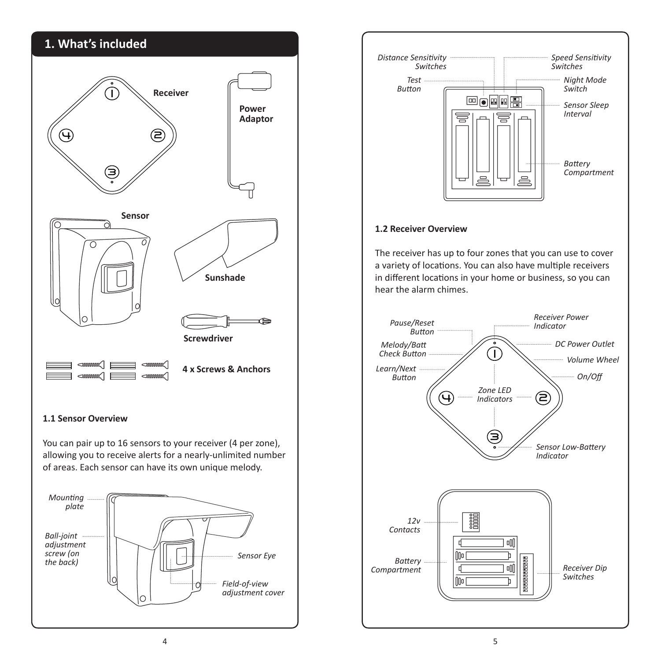## **1. What's included**



You can pair up to 16 sensors to your receiver (4 per zone), allowing you to receive alerts for a nearly-unlimited number of areas. Each sensor can have its own unique melody.





#### **1.2 Receiver Overview**

The receiver has up to four zones that you can use to cover a variety of locations. You can also have multiple receivers in different locations in your home or business, so you can hear the alarm chimes.

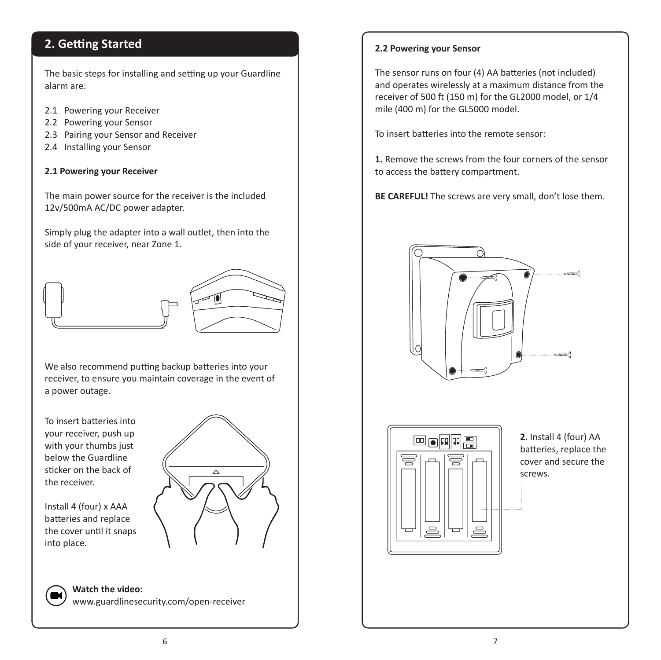### **2. Getting Started**

The basic steps for installing and setting up your Guardline alarm are:

- 2.1 Powering your Receiver
- 2.2 Powering your Sensor
- 2.3 Pairing your Sensor and Receiver
- 2.4 Installing your Sensor

#### **2.1 Powering your Receiver**

The main power source for the receiver is the included 12v/500mA AC/DC power adapter.

Simply plug the adapter into a wall outlet, then into the side of your receiver, near Zone 1.



We also recommend putting backup batteries into your receiver, to ensure you maintain coverage in the event of a power outage.

To insert batteries into your receiver, push up with your thumbs just below the Guardline sticker on the back of the receiver.



Install 4 (four) x AAA batteries and replace the cover until it snaps into place.

> **Watch the video:**  www.guardlinesecurity.com/open-receiver

#### **2.2 Powering your Sensor**

The sensor runs on four (4) AA batteries (not included) and operates wirelessly at a maximum distance from the receiver of 500 ft (150 m) for the GL2000 model, or 1/4 mile (400 m) for the GL5000 model.

To insert batteries into the remote sensor:

**1.** Remove the screws from the four corners of the sensor to access the battery compartment.

**BE CAREFUL!** The screws are very small, don't lose them.





**2.** Install 4 (four) AA batteries, replace the cover and secure the screws.

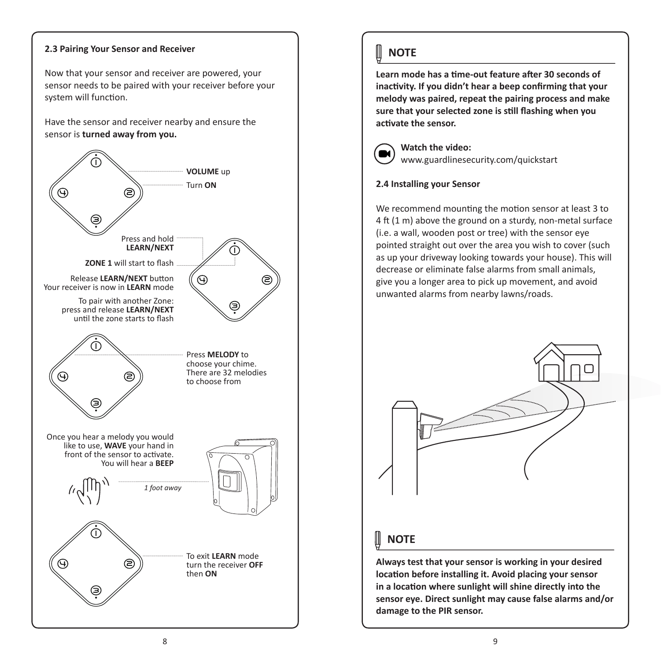#### **2.3 Pairing Your Sensor and Receiver**

Now that your sensor and receiver are powered, your sensor needs to be paired with your receiver before your system will function.

Have the sensor and receiver nearby and ensure the sensor is **turned away from you.**



## **NOTE**

**Learn mode has a time-out feature after 30 seconds of inactivity. If you didn't hear a beep confirming that your melody was paired, repeat the pairing process and make sure that your selected zone is still flashing when you activate the sensor.**



**Watch the video:** www.guardlinesecurity.com/quickstart

#### **2.4 Installing your Sensor**

We recommend mounting the motion sensor at least 3 to 4 ft (1 m) above the ground on a sturdy, non-metal surface (i.e. a wall, wooden post or tree) with the sensor eye pointed straight out over the area you wish to cover (such as up your driveway looking towards your house). This will decrease or eliminate false alarms from small animals, give you a longer area to pick up movement, and avoid unwanted alarms from nearby lawns/roads.



## **NOTE**

**Always test that your sensor is working in your desired location before installing it. Avoid placing your sensor in a location where sunlight will shine directly into the sensor eye. Direct sunlight may cause false alarms and/or damage to the PIR sensor.**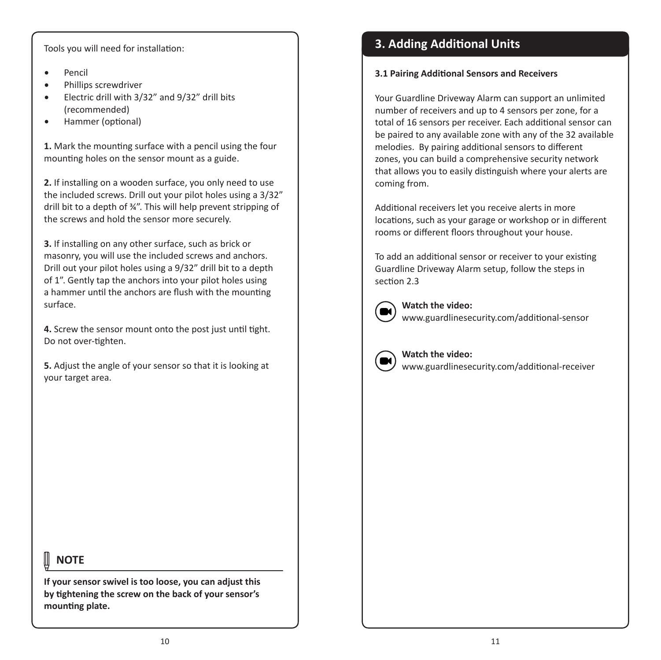Tools you will need for installation:

- Pencil
- Phillips screwdriver
- Electric drill with 3/32" and 9/32" drill bits (recommended)
- Hammer (optional)

**1.** Mark the mounting surface with a pencil using the four mounting holes on the sensor mount as a guide.

**2.** If installing on a wooden surface, you only need to use the included screws. Drill out your pilot holes using a 3/32" drill bit to a depth of ¾". This will help prevent stripping of the screws and hold the sensor more securely.

**3.** If installing on any other surface, such as brick or masonry, you will use the included screws and anchors. Drill out your pilot holes using a 9/32" drill bit to a depth of 1". Gently tap the anchors into your pilot holes using a hammer until the anchors are flush with the mounting surface.

**4.** Screw the sensor mount onto the post just until tight. Do not over-tighten.

**5.** Adjust the angle of your sensor so that it is looking at your target area.

## **NOTE**

**If your sensor swivel is too loose, you can adjust this by tightening the screw on the back of your sensor's mounting plate.**

## **3. Adding Additional Units**

#### **3.1 Pairing Additional Sensors and Receivers**

Your Guardline Driveway Alarm can support an unlimited number of receivers and up to 4 sensors per zone, for a total of 16 sensors per receiver. Each additional sensor can be paired to any available zone with any of the 32 available melodies. By pairing additional sensors to different zones, you can build a comprehensive security network that allows you to easily distinguish where your alerts are coming from.

Additional receivers let you receive alerts in more locations, such as your garage or workshop or in different rooms or different floors throughout your house.

To add an additional sensor or receiver to your existing Guardline Driveway Alarm setup, follow the steps in section 2.3



**Watch the video:** www.guardlinesecurity.com/additional-sensor



**Watch the video:** www.guardlinesecurity.com/additional-receiver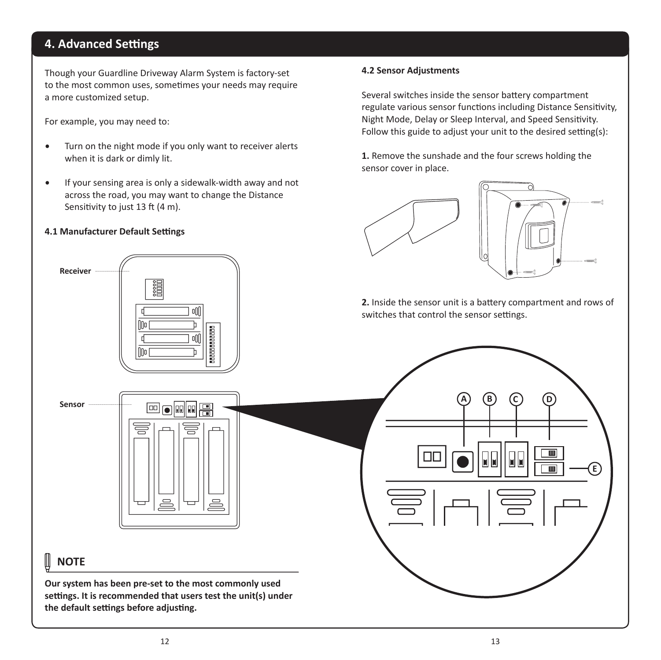## **4. Advanced Settings**

Though your Guardline Driveway Alarm System is factory-set to the most common uses, sometimes your needs may require a more customized setup.

For example, you may need to:

- Turn on the night mode if you only want to receiver alerts when it is dark or dimly lit.
- If your sensing area is only a sidewalk-width away and not across the road, you may want to change the Distance Sensitivity to just 13 ft (4 m).

oN

#### **4.1 Manufacturer Default Settings**

#### **4.2 Sensor Adjustments**

Several switches inside the sensor battery compartment regulate various sensor functions including Distance Sensitivity, Night Mode, Delay or Sleep Interval, and Speed Sensitivity. Follow this guide to adjust your unit to the desired setting(s):

**1.** Remove the sunshade and the four screws holding the sensor cover in place.





**2.** Inside the sensor unit is a battery compartment and rows of switches that control the sensor settings.

**A B C D**

**M** 

**E**

 $\overline{\mathbf{m}}$ 

 $\overline{m}$ 

**NOTE**  $\mathbb{H}$ 

**Sensor**

**Receiver**

**Our system has been pre-set to the most commonly used settings. It is recommended that users test the unit(s) under the default settings before adjusting.**

**Edio al Tr**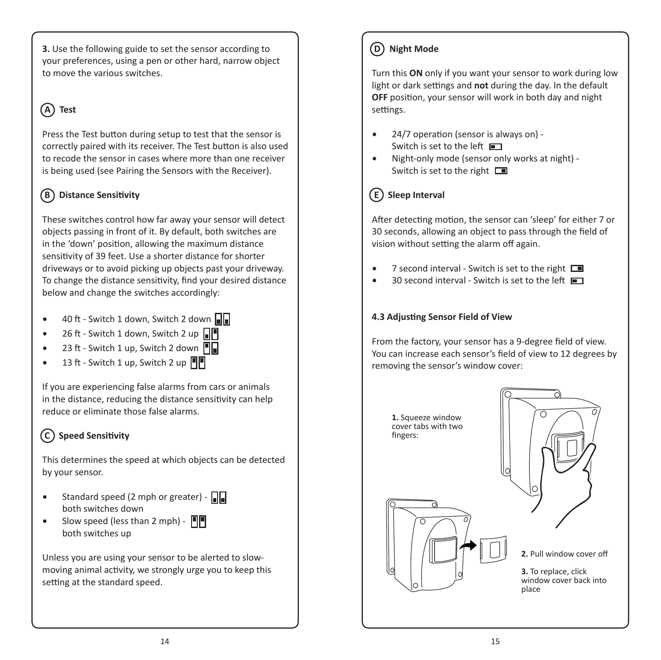**3.** Use the following guide to set the sensor according to your preferences, using a pen or other hard, narrow object to move the various switches.

## **A Test**

Press the Test button during setup to test that the sensor is correctly paired with its receiver. The Test button is also used to recode the sensor in cases where more than one receiver is being used (see Pairing the Sensors with the Receiver).

## **B Distance Sensitivity**

These switches control how far away your sensor will detect objects passing in front of it. By default, both switches are in the 'down' position, allowing the maximum distance sensitivity of 39 feet. Use a shorter distance for shorter driveways or to avoid picking up objects past your driveway. To change the distance sensitivity, find your desired distance below and change the switches accordingly:

- 40 ft Switch 1 down, Switch 2 down  $\|\cdot\|$
- 26 ft Switch 1 down, Switch 2 up  $\Pi$
- 23 ft Switch 1 up, Switch 2 down  $\blacksquare$
- 13 ft Switch 1 up, Switch 2 up  $\blacksquare$

If you are experiencing false alarms from cars or animals in the distance, reducing the distance sensitivity can help reduce or eliminate those false alarms.

## **C Speed Sensitivity**

This determines the speed at which objects can be detected by your sensor.

- Standard speed (2 mph or greater)  $\Box$ both switches down
- Slow speed (less than 2 mph)  $\blacksquare$ both switches up

Unless you are using your sensor to be alerted to slowmoving animal activity, we strongly urge you to keep this setting at the standard speed.

#### **D Night Mode**

Turn this **ON** only if you want your sensor to work during low light or dark settings and **not** during the day. In the default **OFF** position, your sensor will work in both day and night settings.

- 24/7 operation (sensor is always on) Switch is set to the left
- Night-only mode (sensor only works at night) Switch is set to the right  $\square$

### **E Sleep Interval**

After detecting motion, the sensor can 'sleep' for either 7 or 30 seconds, allowing an object to pass through the field of vision without setting the alarm off again.

- 7 second interval Switch is set to the right  $\Box$
- 30 second interval Switch is set to the left  $\Box$

#### **4.3 Adjusting Sensor Field of View**

From the factory, your sensor has a 9-degree field of view. You can increase each sensor's field of view to 12 degrees by removing the sensor's window cover:

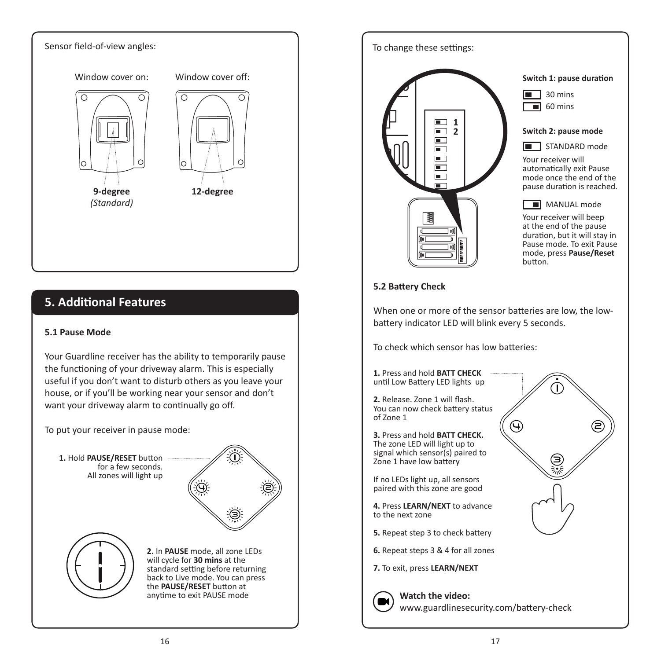

| To change these settings:                                                                                                                                   |                                                                                                                                                                                                                                                                                                                                                                                                      |
|-------------------------------------------------------------------------------------------------------------------------------------------------------------|------------------------------------------------------------------------------------------------------------------------------------------------------------------------------------------------------------------------------------------------------------------------------------------------------------------------------------------------------------------------------------------------------|
| 1<br>2<br>oO<br>d<br>()Oo<br>þ<br>2000000000<br>oO<br>q<br>(100                                                                                             | Switch 1: pause duration<br>30 mins<br>$\blacksquare$ 60 mins<br>Switch 2: pause mode<br>■ STANDARD mode<br>Your receiver will<br>automatically exit Pause<br>mode once the end of the<br>pause duration is reached.<br>MANUAL mode<br>Your receiver will beep<br>at the end of the pause<br>duration, but it will stay in<br>Pause mode. To exit Pause<br>mode, press <b>Pause/Reset</b><br>button. |
| 5.2 Battery Check                                                                                                                                           |                                                                                                                                                                                                                                                                                                                                                                                                      |
| When one or more of the sensor batteries are low, the low-<br>battery indicator LED will blink every 5 seconds.<br>To check which sensor has low batteries: |                                                                                                                                                                                                                                                                                                                                                                                                      |
| 1. Press and hold <b>BATT CHECK</b><br>until Low Battery LED lights up                                                                                      |                                                                                                                                                                                                                                                                                                                                                                                                      |
| 2. Release. Zone 1 will flash.<br>You can now check battery status<br>of Zone 1                                                                             |                                                                                                                                                                                                                                                                                                                                                                                                      |
| 3. Press and hold BATT CHECK.<br>The zone LED will light up to<br>signal which sensor(s) paired to<br>Zone 1 have low battery                               |                                                                                                                                                                                                                                                                                                                                                                                                      |
| If no LEDs light up, all sensors<br>paired with this zone are good                                                                                          |                                                                                                                                                                                                                                                                                                                                                                                                      |
| 4. Press LEARN/NEXT to advance<br>to the next zone                                                                                                          |                                                                                                                                                                                                                                                                                                                                                                                                      |
| <b>5.</b> Repeat step 3 to check battery                                                                                                                    |                                                                                                                                                                                                                                                                                                                                                                                                      |
| <b>6.</b> Repeat steps 3 & 4 for all zones                                                                                                                  |                                                                                                                                                                                                                                                                                                                                                                                                      |
| 7. To exit, press LEARN/NEXT                                                                                                                                |                                                                                                                                                                                                                                                                                                                                                                                                      |
| Watch the video:<br>www.guardlinesecurity.com/battery-check                                                                                                 |                                                                                                                                                                                                                                                                                                                                                                                                      |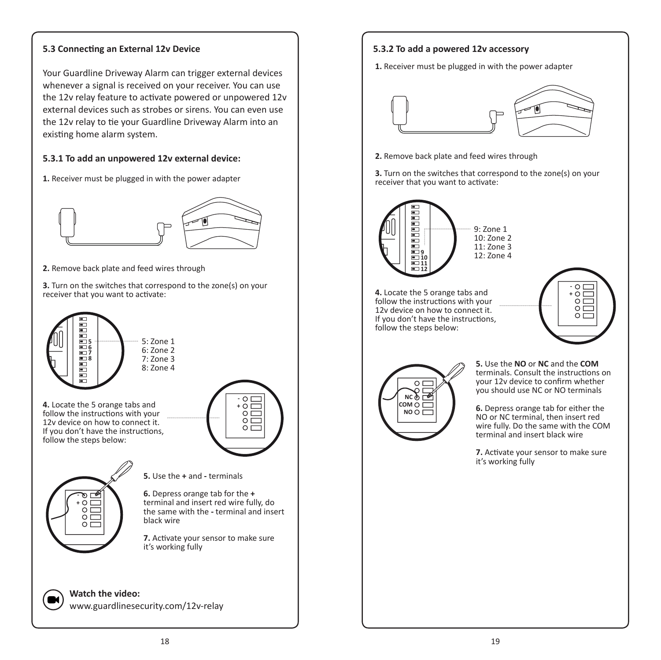#### **5.3 Connecting an External 12v Device 5.3.2 To add a powered 12v accessory**

Your Guardline Driveway Alarm can trigger external devices whenever a signal is received on your receiver. You can use the 12v relay feature to activate powered or unpowered 12v external devices such as strobes or sirens. You can even use the 12v relay to tie your Guardline Driveway Alarm into an existing home alarm system.

#### **5.3.1 To add an unpowered 12v external device:**

**1.** Receiver must be plugged in with the power adapter



**2.** Remove back plate and feed wires through

**3.** Turn on the switches that correspond to the zone(s) on your receiver that you want to activate:



# **1.** Receiver must be plugged in with the power adapter



**2.** Remove back plate and feed wires through

**3.** Turn on the switches that correspond to the zone(s) on your receiver that you want to activate:



**4.** Locate the 5 orange tabs and follow the instructions with your 12v device on how to connect it. If you don't have the instructions, follow the steps below:





**5.** Use the **NO** or **NC** and the **COM** terminals. Consult the instructions on your 12v device to confirm whether you should use NC or NO terminals

**6.** Depress orange tab for either the NO or NC terminal, then insert red wire fully. Do the same with the COM terminal and insert black wire

**7.** Activate your sensor to make sure it's working fully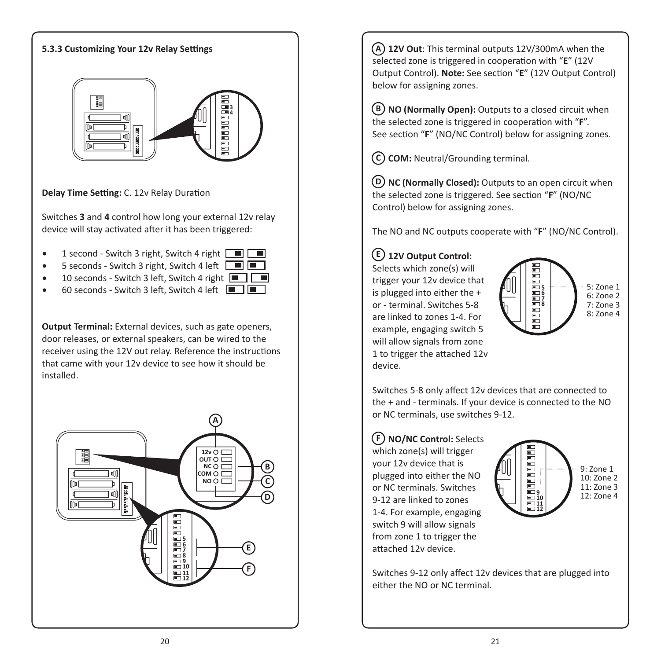

- 1 second Switch 3 right, Switch 4 right  $\Box$ 
	- 5 seconds Switch 3 right, Switch 4 left  $\Box$
- 10 seconds Switch 3 left, Switch 4 right  $\boxed{=}$
- 60 seconds Switch 3 left, Switch 4 left  $\Box$

**Output Terminal:** External devices, such as gate openers, door releases, or external speakers, can be wired to the receiver using the 12V out relay. Reference the instructions that came with your 12v device to see how it should be installed.



 **12V Out**: This terminal outputs 12V/300mA when the **A** selected zone is triggered in cooperation with "**E**" (12V Output Control). **Note:** See section "**E**" (12V Output Control) below for assigning zones.

 **NO (Normally Open):** Outputs to a closed circuit when **B** the selected zone is triggered in cooperation with "**F**". See section "**F**" (NO/NC Control) below for assigning zones.

 **COM:** Neutral/Grounding terminal. **C**

 **NC (Normally Closed):** Outputs to an open circuit when **D** the selected zone is triggered. See section "**F**" (NO/NC Control) below for assigning zones.

The NO and NC outputs cooperate with "**F**" (NO/NC Control).

#### **12V Output Control: E**

Selects which zone(s) will trigger your 12v device that is plugged into either the + or - terminal. Switches 5-8 are linked to zones 1-4. For example, engaging switch 5 will allow signals from zone 1 to trigger the attached 12v device.



Switches 5-8 only affect 12v devices that are connected to the + and - terminals. If your device is connected to the NO or NC terminals, use switches 9-12.

#### **NO/NC Control:** Selects **F**

which zone(s) will trigger your 12v device that is plugged into either the NO or NC terminals. Switches 9-12 are linked to zones 1-4. For example, engaging switch 9 will allow signals from zone 1 to trigger the attached 12v device.



Switches 9-12 only affect 12v devices that are plugged into either the NO or NC terminal.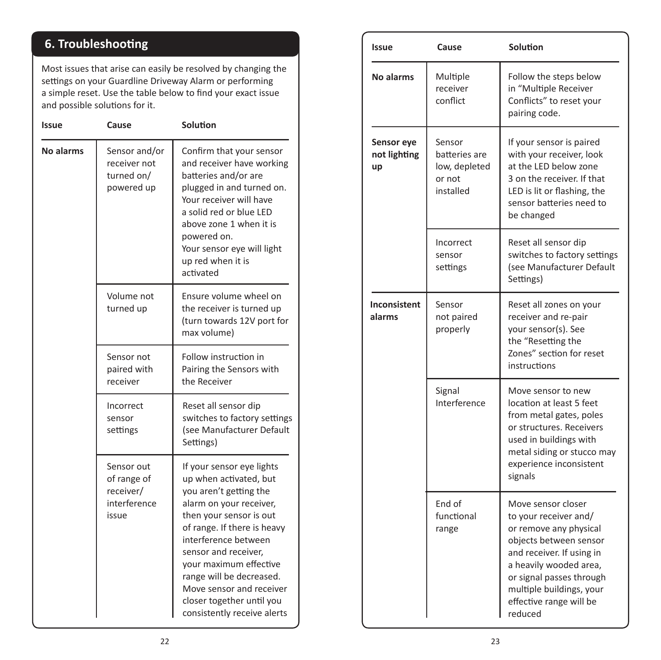## **6. Troubleshooting**

Most issues that arise can easily be resolved by changing the settings on your Guardline Driveway Alarm or performing a simple reset. Use the table below to find your exact issue and possible solutions for it.

| Issue            | Cause                                                           | Solution                                                                                                                                                                                                                                                                                                                                                         |
|------------------|-----------------------------------------------------------------|------------------------------------------------------------------------------------------------------------------------------------------------------------------------------------------------------------------------------------------------------------------------------------------------------------------------------------------------------------------|
| <b>No alarms</b> | Sensor and/or<br>receiver not<br>turned on/<br>powered up       | Confirm that your sensor<br>and receiver have working<br>batteries and/or are<br>plugged in and turned on.<br>Your receiver will have<br>a solid red or blue LED<br>above zone 1 when it is<br>powered on.<br>Your sensor eye will light<br>up red when it is<br>activated                                                                                       |
|                  | Volume not<br>turned up                                         | Ensure volume wheel on<br>the receiver is turned up<br>(turn towards 12V port for<br>max volume)                                                                                                                                                                                                                                                                 |
|                  | Sensor not<br>paired with<br>receiver                           | Follow instruction in<br>Pairing the Sensors with<br>the Receiver                                                                                                                                                                                                                                                                                                |
|                  | Incorrect<br>sensor<br>settings                                 | Reset all sensor dip<br>switches to factory settings<br>(see Manufacturer Default<br>Settings)                                                                                                                                                                                                                                                                   |
|                  | Sensor out<br>of range of<br>receiver/<br>interference<br>issue | If your sensor eye lights<br>up when activated, but<br>you aren't getting the<br>alarm on your receiver,<br>then your sensor is out<br>of range. If there is heavy<br>interference between<br>sensor and receiver,<br>your maximum effective<br>range will be decreased.<br>Move sensor and receiver<br>closer together until you<br>consistently receive alerts |

| Issue                            | Cause                                                           | <b>Solution</b>                                                                                                                                                                                                                                      |
|----------------------------------|-----------------------------------------------------------------|------------------------------------------------------------------------------------------------------------------------------------------------------------------------------------------------------------------------------------------------------|
| <b>No alarms</b>                 | Multiple<br>receiver<br>conflict                                | Follow the steps below<br>in "Multiple Receiver<br>Conflicts" to reset your<br>pairing code.                                                                                                                                                         |
| Sensor eye<br>not lighting<br>up | Sensor<br>batteries are<br>low, depleted<br>or not<br>installed | If your sensor is paired<br>with your receiver, look<br>at the LED below zone<br>3 on the receiver. If that<br>LED is lit or flashing, the<br>sensor batteries need to<br>be changed                                                                 |
|                                  | Incorrect<br>sensor<br>settings                                 | Reset all sensor dip<br>switches to factory settings<br>(see Manufacturer Default<br>Settings)                                                                                                                                                       |
| Inconsistent<br>alarms           | Sensor<br>not paired<br>properly                                | Reset all zones on your<br>receiver and re-pair<br>your sensor(s). See<br>the "Resetting the<br>Zones" section for reset<br>instructions                                                                                                             |
|                                  | Signal<br>Interference                                          | Move sensor to new<br>location at least 5 feet<br>from metal gates, poles<br>or structures. Receivers<br>used in buildings with<br>metal siding or stucco may<br>experience inconsistent<br>signals                                                  |
|                                  | End of<br>functional<br>range                                   | Move sensor closer<br>to your receiver and/<br>or remove any physical<br>objects between sensor<br>and receiver. If using in<br>a heavily wooded area,<br>or signal passes through<br>multiple buildings, your<br>effective range will be<br>reduced |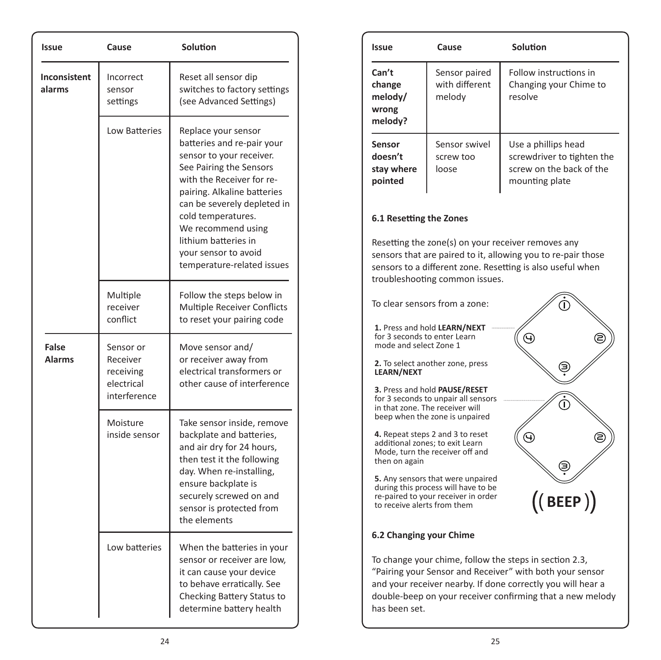| <b>Issue</b>                  | Cause                                                            | <b>Solution</b>                                                                                                                                                                                                                                                                                                               |
|-------------------------------|------------------------------------------------------------------|-------------------------------------------------------------------------------------------------------------------------------------------------------------------------------------------------------------------------------------------------------------------------------------------------------------------------------|
| <b>Inconsistent</b><br>alarms | Incorrect<br>sensor<br>settings                                  | Reset all sensor dip<br>switches to factory settings<br>(see Advanced Settings)                                                                                                                                                                                                                                               |
|                               | <b>Low Batteries</b>                                             | Replace your sensor<br>batteries and re-pair your<br>sensor to your receiver.<br>See Pairing the Sensors<br>with the Receiver for re-<br>pairing. Alkaline batteries<br>can be severely depleted in<br>cold temperatures.<br>We recommend using<br>lithium batteries in<br>your sensor to avoid<br>temperature-related issues |
|                               | Multiple<br>receiver<br>conflict                                 | Follow the steps below in<br><b>Multiple Receiver Conflicts</b><br>to reset your pairing code                                                                                                                                                                                                                                 |
| False<br><b>Alarms</b>        | Sensor or<br>Receiver<br>receiving<br>electrical<br>interference | Move sensor and/<br>or receiver away from<br>electrical transformers or<br>other cause of interference                                                                                                                                                                                                                        |
|                               | Moisture<br>inside sensor                                        | Take sensor inside, remove<br>backplate and batteries,<br>and air dry for 24 hours,<br>then test it the following<br>day. When re-installing,<br>ensure backplate is<br>securely screwed on and<br>sensor is protected from<br>the elements                                                                                   |
|                               | Low batteries                                                    | When the batteries in your<br>sensor or receiver are low,<br>it can cause your device<br>to behave erratically. See<br>Checking Battery Status to<br>determine battery health                                                                                                                                                 |

| Issue                                                  | Cause                                                                                                                                     | Solution                                                                                                                                                                                                                                       |
|--------------------------------------------------------|-------------------------------------------------------------------------------------------------------------------------------------------|------------------------------------------------------------------------------------------------------------------------------------------------------------------------------------------------------------------------------------------------|
| Can't<br>change<br>melody/<br>wrong<br>melody?         | Sensor paired<br>with different<br>melody                                                                                                 | Follow instructions in<br>Changing your Chime to<br>resolve                                                                                                                                                                                    |
| <b>Sensor</b><br>doesn't<br>stay where<br>pointed      | Sensor swivel<br>screw too<br>loose                                                                                                       | Use a phillips head<br>screwdriver to tighten the<br>screw on the back of the<br>mounting plate                                                                                                                                                |
| 6.1 Resetting the Zones                                |                                                                                                                                           |                                                                                                                                                                                                                                                |
|                                                        | troubleshooting common issues.                                                                                                            | Resetting the zone(s) on your receiver removes any<br>sensors that are paired to it, allowing you to re-pair those<br>sensors to a different zone. Resetting is also useful when                                                               |
|                                                        | To clear sensors from a zone:                                                                                                             |                                                                                                                                                                                                                                                |
| for 3 seconds to enter Learn<br>mode and select Zone 1 | 1. Press and hold LEARN/NEXT                                                                                                              |                                                                                                                                                                                                                                                |
| <b>LEARN/NEXT</b>                                      | 2. To select another zone, press                                                                                                          |                                                                                                                                                                                                                                                |
|                                                        | 3. Press and hold PAUSE/RESET<br>for 3 seconds to unpair all sensors<br>in that zone. The receiver will<br>beep when the zone is unpaired |                                                                                                                                                                                                                                                |
| then on again                                          | 4. Repeat steps 2 and 3 to reset<br>additional zones: to exit Learn<br>Mode, turn the receiver off and                                    |                                                                                                                                                                                                                                                |
| to receive alerts from them                            | <b>5.</b> Any sensors that were unpaired<br>during this process will have to be<br>re-paired to your receiver in order                    | <b>BEEP</b>                                                                                                                                                                                                                                    |
| 6.2 Changing your Chime                                |                                                                                                                                           |                                                                                                                                                                                                                                                |
| has been set.                                          |                                                                                                                                           | To change your chime, follow the steps in section 2.3,<br>"Pairing your Sensor and Receiver" with both your sensor<br>and your receiver nearby. If done correctly you will hear a<br>double-beep on your receiver confirming that a new melody |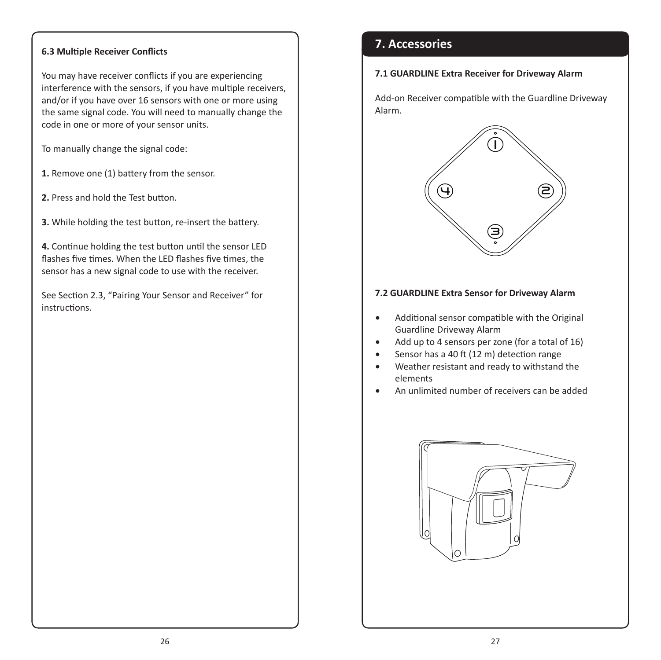#### **6.3 Multiple Receiver Conflicts**

You may have receiver conflicts if you are experiencing interference with the sensors, if you have multiple receivers, and/or if you have over 16 sensors with one or more using the same signal code. You will need to manually change the code in one or more of your sensor units.

To manually change the signal code:

- **1.** Remove one (1) battery from the sensor.
- **2.** Press and hold the Test button.
- **3.** While holding the test button, re-insert the battery.

**4.** Continue holding the test button until the sensor LED flashes five times. When the LED flashes five times, the sensor has a new signal code to use with the receiver.

See Section 2.3, "Pairing Your Sensor and Receiver" for instructions.

### **7. Accessories**

#### **7.1 GUARDLINE Extra Receiver for Driveway Alarm**

Add-on Receiver compatible with the Guardline Driveway Alarm.



#### **7.2 GUARDLINE Extra Sensor for Driveway Alarm**

- Additional sensor compatible with the Original Guardline Driveway Alarm
- Add up to 4 sensors per zone (for a total of 16)
- Sensor has a 40 ft (12 m) detection range
- Weather resistant and ready to withstand the elements
- An unlimited number of receivers can be added